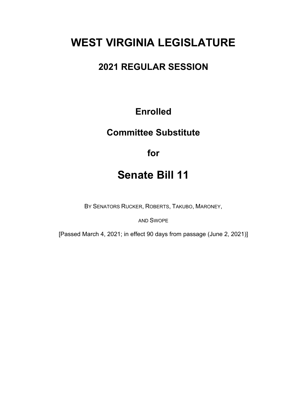# **WEST VIRGINIA LEGISLATURE**

### **2021 REGULAR SESSION**

### **Enrolled**

### **Committee Substitute**

**for**

## **Senate Bill 11**

BY SENATORS RUCKER, ROBERTS, TAKUBO, MARONEY,

AND SWOPE

[Passed March 4, 2021; in effect 90 days from passage (June 2, 2021)]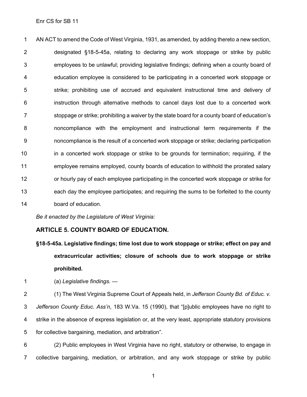Enr CS for SB 11

 AN ACT to amend the Code of West Virginia, 1931, as amended, by adding thereto a new section, designated §18-5-45a, relating to declaring any work stoppage or strike by public employees to be unlawful; providing legislative findings; defining when a county board of education employee is considered to be participating in a concerted work stoppage or strike; prohibiting use of accrued and equivalent instructional time and delivery of instruction through alternative methods to cancel days lost due to a concerted work stoppage or strike; prohibiting a waiver by the state board for a county board of education's noncompliance with the employment and instructional term requirements if the noncompliance is the result of a concerted work stoppage or strike; declaring participation in a concerted work stoppage or strike to be grounds for termination; requiring, if the employee remains employed, county boards of education to withhold the prorated salary or hourly pay of each employee participating in the concerted work stoppage or strike for each day the employee participates; and requiring the sums to be forfeited to the county board of education.

*Be it enacted by the Legislature of West Virginia:*

#### **ARTICLE 5. COUNTY BOARD OF EDUCATION.**

- **§18-5-45a. Legislative findings; time lost due to work stoppage or strike; effect on pay and extracurricular activities; closure of schools due to work stoppage or strike prohibited.**
- (a) *Legislative findings. —*
- (1) The West Virginia Supreme Court of Appeals held, in *Jefferson County Bd. of Educ. v. Jefferson County Educ. Ass'n*, 183 W.Va. 15 (1990), that "[p]ublic employees have no right to strike in the absence of express legislation or, at the very least, appropriate statutory provisions for collective bargaining, mediation, and arbitration".

 (2) Public employees in West Virginia have no right, statutory or otherwise, to engage in collective bargaining, mediation, or arbitration, and any work stoppage or strike by public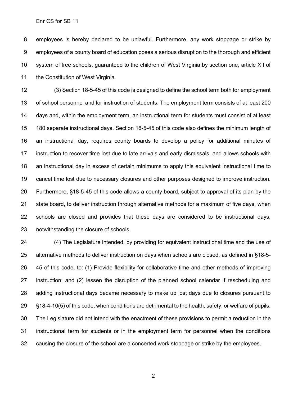Enr CS for SB 11

 employees is hereby declared to be unlawful. Furthermore, any work stoppage or strike by employees of a county board of education poses a serious disruption to the thorough and efficient system of free schools, guaranteed to the children of West Virginia by section one, article XII of 11 the Constitution of West Virginia.

 (3) Section 18-5-45 of this code is designed to define the school term both for employment of school personnel and for instruction of students. The employment term consists of at least 200 days and, within the employment term, an instructional term for students must consist of at least 180 separate instructional days. Section 18-5-45 of this code also defines the minimum length of an instructional day, requires county boards to develop a policy for additional minutes of instruction to recover time lost due to late arrivals and early dismissals, and allows schools with an instructional day in excess of certain minimums to apply this equivalent instructional time to cancel time lost due to necessary closures and other purposes designed to improve instruction. Furthermore, §18-5-45 of this code allows a county board, subject to approval of its plan by the state board, to deliver instruction through alternative methods for a maximum of five days, when schools are closed and provides that these days are considered to be instructional days, notwithstanding the closure of schools.

 (4) The Legislature intended, by providing for equivalent instructional time and the use of alternative methods to deliver instruction on days when schools are closed, as defined in [§18-5-](http://www.wvlegislature.gov/wvcode/chapterentire.cfm?chap=18&art=5§ion=45#01) [45](http://www.wvlegislature.gov/wvcode/chapterentire.cfm?chap=18&art=5§ion=45#01) of this code, to: (1) Provide flexibility for collaborative time and other methods of improving instruction; and (2) lessen the disruption of the planned school calendar if rescheduling and adding instructional days became necessary to make up lost days due to closures pursuant to [§18-4-10\(](http://www.wvlegislature.gov/wvcode/chapterentire.cfm?chap=18&art=4§ion=10#01)5) of this code, when conditions are detrimental to the health, safety, or welfare of pupils. The Legislature did not intend with the enactment of these provisions to permit a reduction in the instructional term for students or in the employment term for personnel when the conditions causing the closure of the school are a concerted work stoppage or strike by the employees.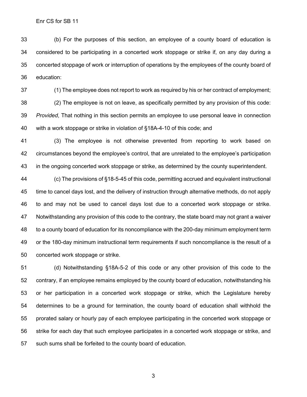(b) For the purposes of this section, an employee of a county board of education is considered to be participating in a concerted work stoppage or strike if, on any day during a concerted stoppage of work or interruption of operations by the employees of the county board of education:

 (1) The employee does not report to work as required by his or her contract of employment; (2) The employee is not on leave, as specifically permitted by any provision of this code: *Provided*, That nothing in this section permits an employee to use personal leave in connection with a work stoppage or strike in violation of §18A-4-10 of this code; and

 (3) The employee is not otherwise prevented from reporting to work based on circumstances beyond the employee's control, that are unrelated to the employee's participation in the ongoing concerted work stoppage or strike, as determined by the county superintendent.

 (c) The provisions of [§18-5-45](http://www.wvlegislature.gov/wvcode/chapterentire.cfm?chap=18&art=5§ion=45#01) of this code, permitting accrued and equivalent instructional time to cancel days lost, and the delivery of instruction through alternative methods, do not apply to and may not be used to cancel days lost due to a concerted work stoppage or strike. Notwithstanding any provision of this code to the contrary, the state board may not grant a waiver to a county board of education for its noncompliance with the 200-day minimum employment term or the 180-day minimum instructional term requirements if such noncompliance is the result of a concerted work stoppage or strike.

 (d) Notwithstanding §18A-5-2 of this code or any other provision of this code to the contrary, if an employee remains employed by the county board of education, notwithstanding his or her participation in a concerted work stoppage or strike, which the Legislature hereby determines to be a ground for termination, the county board of education shall withhold the prorated salary or hourly pay of each employee participating in the concerted work stoppage or strike for each day that such employee participates in a concerted work stoppage or strike, and such sums shall be forfeited to the county board of education.